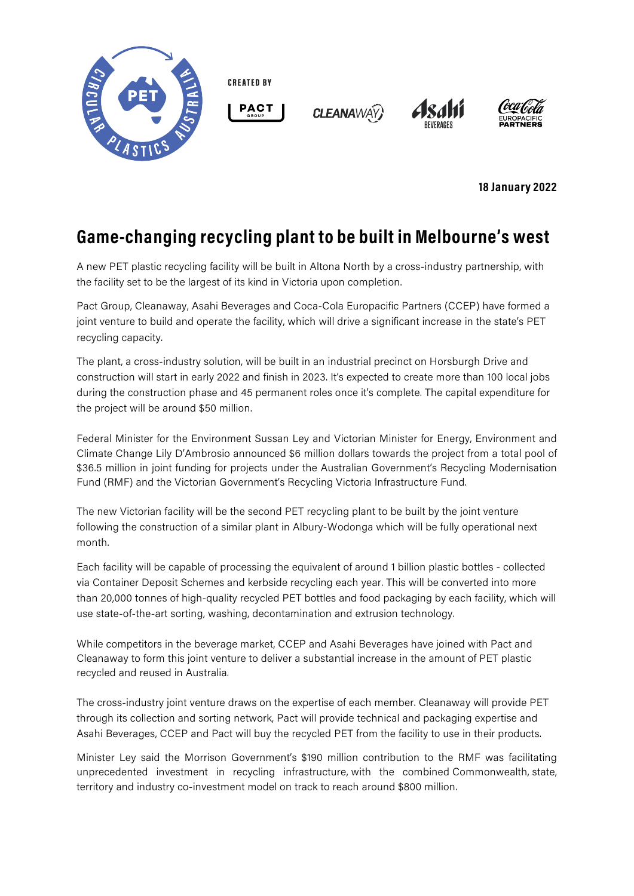

**CREATED BY** 



**CLEANAWAY** 





**18 January 2022**

## **Game-changing recycling plant to be built in Melbourne's west**

A new PET plastic recycling facility will be built in Altona North by a cross-industry partnership, with the facility set to be the largest of its kind in Victoria upon completion.

Pact Group, Cleanaway, Asahi Beverages and Coca-Cola Europacific Partners (CCEP) have formed a joint venture to build and operate the facility, which will drive a significant increase in the state's PET recycling capacity.

The plant, a cross-industry solution, will be built in an industrial precinct on Horsburgh Drive and construction will start in early 2022 and finish in 2023. It's expected to create more than 100 local jobs during the construction phase and 45 permanent roles once it's complete. The capital expenditure for the project will be around \$50 million.

Federal Minister for the Environment Sussan Ley and Victorian Minister for Energy, Environment and Climate Change Lily D'Ambrosio announced \$6 million dollars towards the project from a total pool of \$36.5 million in joint funding for projects under the Australian Government's Recycling Modernisation Fund (RMF) and the Victorian Government's Recycling Victoria Infrastructure Fund.

The new Victorian facility will be the second PET recycling plant to be built by the joint venture following the construction of a similar plant in Albury-Wodonga which will be fully operational next month.

Each facility will be capable of processing the equivalent of around 1 billion plastic bottles - collected via Container Deposit Schemes and kerbside recycling each year. This will be converted into more than 20,000 tonnes of high-quality recycled PET bottles and food packaging by each facility, which will use state-of-the-art sorting, washing, decontamination and extrusion technology.

While competitors in the beverage market, CCEP and Asahi Beverages have joined with Pact and Cleanaway to form this joint venture to deliver a substantial increase in the amount of PET plastic recycled and reused in Australia.

The cross-industry joint venture draws on the expertise of each member. Cleanaway will provide PET through its collection and sorting network, Pact will provide technical and packaging expertise and Asahi Beverages, CCEP and Pact will buy the recycled PET from the facility to use in their products.

Minister Ley said the Morrison Government's \$190 million contribution to the RMF was facilitating unprecedented investment in recycling infrastructure, with the combined Commonwealth, state, territory and industry co-investment model on track to reach around \$800 million.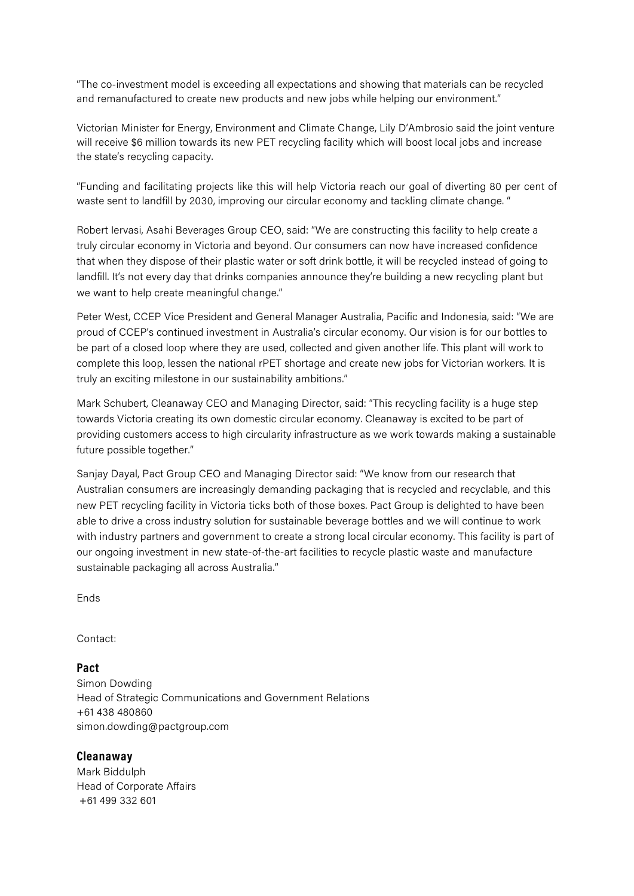"The co-investment model is exceeding all expectations and showing that materials can be recycled and remanufactured to create new products and new jobs while helping our environment."

Victorian Minister for Energy, Environment and Climate Change, Lily D'Ambrosio said the joint venture will receive \$6 million towards its new PET recycling facility which will boost local jobs and increase the state's recycling capacity.

"Funding and facilitating projects like this will help Victoria reach our goal of diverting 80 per cent of waste sent to landfill by 2030, improving our circular economy and tackling climate change. "

Robert Iervasi, Asahi Beverages Group CEO, said: "We are constructing this facility to help create a truly circular economy in Victoria and beyond. Our consumers can now have increased confidence that when they dispose of their plastic water or soft drink bottle, it will be recycled instead of going to landfill. It's not every day that drinks companies announce they're building a new recycling plant but we want to help create meaningful change."

Peter West, CCEP Vice President and General Manager Australia, Pacific and Indonesia, said: "We are proud of CCEP's continued investment in Australia's circular economy. Our vision is for our bottles to be part of a closed loop where they are used, collected and given another life. This plant will work to complete this loop, lessen the national rPET shortage and create new jobs for Victorian workers. It is truly an exciting milestone in our sustainability ambitions."

Mark Schubert, Cleanaway CEO and Managing Director, said: "This recycling facility is a huge step towards Victoria creating its own domestic circular economy. Cleanaway is excited to be part of providing customers access to high circularity infrastructure as we work towards making a sustainable future possible together."

Sanjay Dayal, Pact Group CEO and Managing Director said: "We know from our research that Australian consumers are increasingly demanding packaging that is recycled and recyclable, and this new PET recycling facility in Victoria ticks both of those boxes. Pact Group is delighted to have been able to drive a cross industry solution for sustainable beverage bottles and we will continue to work with industry partners and government to create a strong local circular economy. This facility is part of our ongoing investment in new state-of-the-art facilities to recycle plastic waste and manufacture sustainable packaging all across Australia."

Ends

Contact:

**Pact**

Simon Dowding Head of Strategic Communications and Government Relations +61 438 480860 simon.dowding@pactgroup.com

## **Cleanaway**

Mark Biddulph Head of Corporate Affairs +61 499 332 601